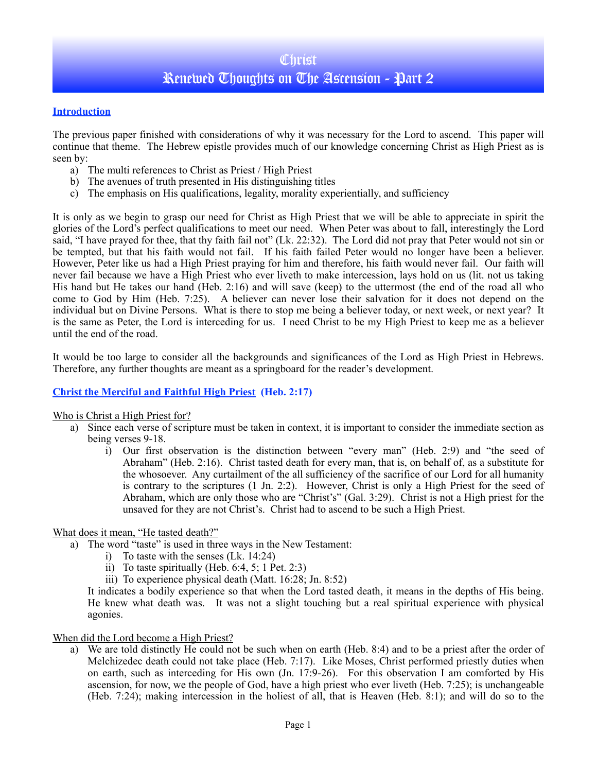# **Christ** Renewed Thoughts on The Ascension - Part 2

### **Introduction**

The previous paper finished with considerations of why it was necessary for the Lord to ascend. This paper will continue that theme. The Hebrew epistle provides much of our knowledge concerning Christ as High Priest as is seen by:

- a) The multi references to Christ as Priest / High Priest
- b) The avenues of truth presented in His distinguishing titles
- c) The emphasis on His qualifications, legality, morality experientially, and sufficiency

It is only as we begin to grasp our need for Christ as High Priest that we will be able to appreciate in spirit the glories of the Lord's perfect qualifications to meet our need. When Peter was about to fall, interestingly the Lord said, "I have prayed for thee, that thy faith fail not" (Lk. 22:32). The Lord did not pray that Peter would not sin or be tempted, but that his faith would not fail. If his faith failed Peter would no longer have been a believer. However, Peter like us had a High Priest praying for him and therefore, his faith would never fail. Our faith will never fail because we have a High Priest who ever liveth to make intercession, lays hold on us (lit. not us taking His hand but He takes our hand (Heb. 2:16) and will save (keep) to the uttermost (the end of the road all who come to God by Him (Heb. 7:25). A believer can never lose their salvation for it does not depend on the individual but on Divine Persons. What is there to stop me being a believer today, or next week, or next year? It is the same as Peter, the Lord is interceding for us. I need Christ to be my High Priest to keep me as a believer until the end of the road.

It would be too large to consider all the backgrounds and significances of the Lord as High Priest in Hebrews. Therefore, any further thoughts are meant as a springboard for the reader's development.

### **Christ the Merciful and Faithful High Priest (Heb. 2:17)**

### Who is Christ a High Priest for?

- a) Since each verse of scripture must be taken in context, it is important to consider the immediate section as being verses 9-18.
	- i) Our first observation is the distinction between "every man" (Heb. 2:9) and "the seed of Abraham" (Heb. 2:16). Christ tasted death for every man, that is, on behalf of, as a substitute for the whosoever. Any curtailment of the all sufficiency of the sacrifice of our Lord for all humanity is contrary to the scriptures (1 Jn. 2:2). However, Christ is only a High Priest for the seed of Abraham, which are only those who are "Christ's" (Gal. 3:29). Christ is not a High priest for the unsaved for they are not Christ's. Christ had to ascend to be such a High Priest.

### What does it mean, "He tasted death?"

- a) The word "taste" is used in three ways in the New Testament:
	- i) To taste with the senses (Lk. 14:24)
		- ii) To taste spiritually (Heb. 6:4, 5; 1 Pet. 2:3)
	- iii) To experience physical death (Matt. 16:28; Jn. 8:52)

It indicates a bodily experience so that when the Lord tasted death, it means in the depths of His being. He knew what death was. It was not a slight touching but a real spiritual experience with physical agonies.

#### When did the Lord become a High Priest?

a) We are told distinctly He could not be such when on earth (Heb. 8:4) and to be a priest after the order of Melchizedec death could not take place (Heb. 7:17). Like Moses, Christ performed priestly duties when on earth, such as interceding for His own (Jn. 17:9-26). For this observation I am comforted by His ascension, for now, we the people of God, have a high priest who ever liveth (Heb. 7:25); is unchangeable (Heb. 7:24); making intercession in the holiest of all, that is Heaven (Heb. 8:1); and will do so to the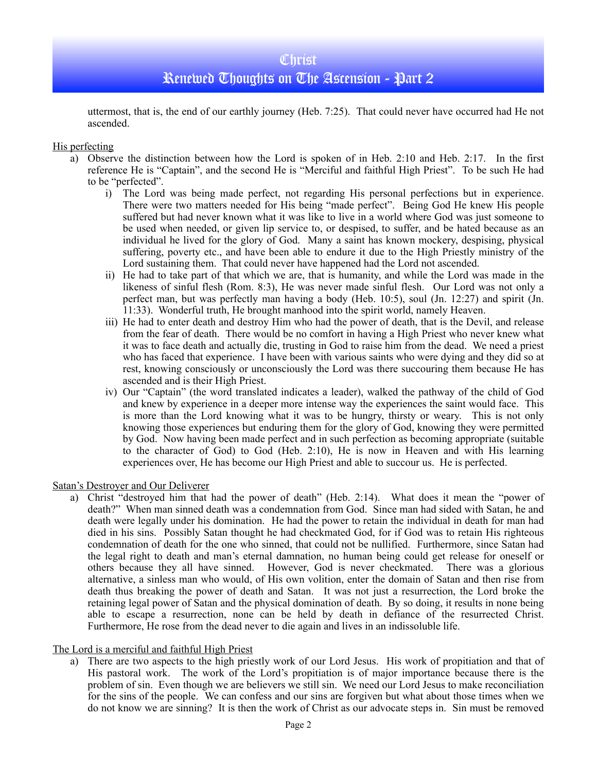uttermost, that is, the end of our earthly journey (Heb. 7:25). That could never have occurred had He not ascended.

#### His perfecting

- a) Observe the distinction between how the Lord is spoken of in Heb. 2:10 and Heb. 2:17. In the first reference He is "Captain", and the second He is "Merciful and faithful High Priest". To be such He had to be "perfected".
	- i) The Lord was being made perfect, not regarding His personal perfections but in experience. There were two matters needed for His being "made perfect". Being God He knew His people suffered but had never known what it was like to live in a world where God was just someone to be used when needed, or given lip service to, or despised, to suffer, and be hated because as an individual he lived for the glory of God. Many a saint has known mockery, despising, physical suffering, poverty etc., and have been able to endure it due to the High Priestly ministry of the Lord sustaining them. That could never have happened had the Lord not ascended.
	- ii) He had to take part of that which we are, that is humanity, and while the Lord was made in the likeness of sinful flesh (Rom. 8:3), He was never made sinful flesh. Our Lord was not only a perfect man, but was perfectly man having a body (Heb. 10:5), soul (Jn. 12:27) and spirit (Jn. 11:33). Wonderful truth, He brought manhood into the spirit world, namely Heaven.
	- iii) He had to enter death and destroy Him who had the power of death, that is the Devil, and release from the fear of death. There would be no comfort in having a High Priest who never knew what it was to face death and actually die, trusting in God to raise him from the dead. We need a priest who has faced that experience. I have been with various saints who were dying and they did so at rest, knowing consciously or unconsciously the Lord was there succouring them because He has ascended and is their High Priest.
	- iv) Our "Captain" (the word translated indicates a leader), walked the pathway of the child of God and knew by experience in a deeper more intense way the experiences the saint would face. This is more than the Lord knowing what it was to be hungry, thirsty or weary. This is not only knowing those experiences but enduring them for the glory of God, knowing they were permitted by God. Now having been made perfect and in such perfection as becoming appropriate (suitable to the character of God) to God (Heb. 2:10), He is now in Heaven and with His learning experiences over, He has become our High Priest and able to succour us. He is perfected.

Satan's Destroyer and Our Deliverer

a) Christ "destroyed him that had the power of death" (Heb. 2:14). What does it mean the "power of death?" When man sinned death was a condemnation from God. Since man had sided with Satan, he and death were legally under his domination. He had the power to retain the individual in death for man had died in his sins. Possibly Satan thought he had checkmated God, for if God was to retain His righteous condemnation of death for the one who sinned, that could not be nullified. Furthermore, since Satan had the legal right to death and man's eternal damnation, no human being could get release for oneself or others because they all have sinned. However, God is never checkmated. There was a glorious alternative, a sinless man who would, of His own volition, enter the domain of Satan and then rise from death thus breaking the power of death and Satan. It was not just a resurrection, the Lord broke the retaining legal power of Satan and the physical domination of death. By so doing, it results in none being able to escape a resurrection, none can be held by death in defiance of the resurrected Christ. Furthermore, He rose from the dead never to die again and lives in an indissoluble life.

### The Lord is a merciful and faithful High Priest

a) There are two aspects to the high priestly work of our Lord Jesus. His work of propitiation and that of His pastoral work. The work of the Lord's propitiation is of major importance because there is the problem of sin. Even though we are believers we still sin. We need our Lord Jesus to make reconciliation for the sins of the people. We can confess and our sins are forgiven but what about those times when we do not know we are sinning? It is then the work of Christ as our advocate steps in. Sin must be removed